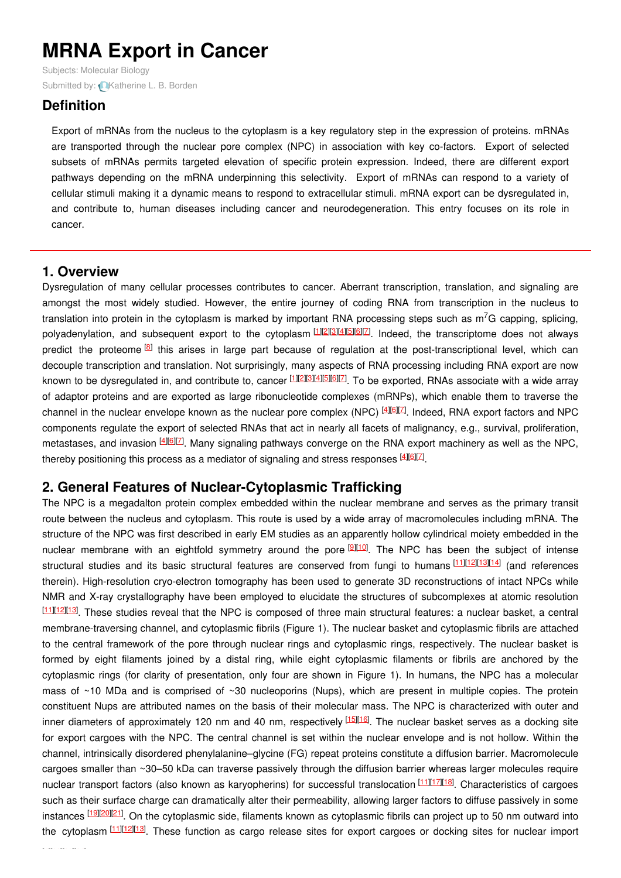# **MRNA Export in Cancer**

Subjects: [Molecular](https://encyclopedia.pub/item/subject/58) Biology Submitted by: **[Katherine](https://sciprofiles.com/profile/1360381) L. B. Borden** 

# **Definition**

Export of mRNAs from the nucleus to the cytoplasm is a key regulatory step in the expression of proteins. mRNAs are transported through the nuclear pore complex (NPC) in association with key co-factors. Export of selected subsets of mRNAs permits targeted elevation of specific protein expression. Indeed, there are different export pathways depending on the mRNA underpinning this selectivity. Export of mRNAs can respond to a variety of cellular stimuli making it a dynamic means to respond to extracellular stimuli. mRNA export can be dysregulated in, and contribute to, human diseases including cancer and neurodegeneration. This entry focuses on its role in cancer.

### **1. Overview**

Dysregulation of many cellular processes contributes to cancer. Aberrant transcription, translation, and signaling are amongst the most widely studied. However, the entire journey of coding RNA from transcription in the nucleus to translation into protein in the cytoplasm is marked by important RNA processing steps such as m<sup>7</sup>G capping, splicing, polyadenylation, and subsequent export to the cytoplasm<sup>[\[1](#page-3-0)][\[2](#page-3-1)][\[3](#page-3-2)][[4](#page-3-3)][\[5](#page-3-4)][\[6](#page-3-5)][2]</sup>. Indeed, the transcriptome does not always predict the proteome <sup>[\[8](#page-3-7)]</sup> this arises in large part because of regulation at the post-transcriptional level, which can decouple transcription and translation. Not surprisingly, many aspects of RNA processing including RNA export are now known to be dysregulated in, and contribute to, cancer **[\[1](#page-3-0)][\[2](#page-3-1)][\[3](#page-3-2)][\[4](#page-3-3)][\[5](#page-3-4)][\[6](#page-3-5)][\[7](#page-3-6)]**. To be exported, RNAs associate with a wide array of adaptor proteins and are exported as large ribonucleotide complexes (mRNPs), which enable them to traverse the channel in the nuclear envelope known as the nuclear pore complex (NPC) <sup>[[4](#page-3-3)][\[6](#page-3-5)][\[7](#page-3-6)]</sup>. Indeed, RNA export factors and NPC components regulate the export of selected RNAs that act in nearly all facets of malignancy, e.g., survival, proliferation, metastases, and invasion <sup>[\[4](#page-3-3)][\[6](#page-3-5)][\[7](#page-3-6)]</sup>. Many signaling pathways converge on the RNA export machinery as well as the NPC, thereby positioning this process as a mediator of signaling and stress responses  $41617$ .

# **2. General Features of Nuclear-Cytoplasmic Trafficking**

The NPC is a megadalton protein complex embedded within the nuclear membrane and serves as the primary transit route between the nucleus and cytoplasm. This route is used by a wide array of macromolecules including mRNA. The structure of the NPC was first described in early EM studies as an apparently hollow cylindrical moiety embedded in the nuclear membrane with an eightfold symmetry around the pore **DI10**. The NPC has been the subject of intense structural studies and its basic structural features are conserved from fungi to humans [\[11](#page-3-10)][\[12](#page-3-11)][\[13](#page-3-12)][\[14](#page-3-13)] (and references therein). High-resolution cryo-electron tomography has been used to generate 3D reconstructions of intact NPCs while NMR and X-ray crystallography have been employed to elucidate the structures of subcomplexes at atomic resolution [\[11](#page-3-10)][\[12](#page-3-11)][\[13](#page-3-12)]. These studies reveal that the NPC is composed of three main structural features: a nuclear basket, a central membrane-traversing channel, and cytoplasmic fibrils (Figure 1). The nuclear basket and cytoplasmic fibrils are attached to the central framework of the pore through nuclear rings and cytoplasmic rings, respectively. The nuclear basket is formed by eight filaments joined by a distal ring, while eight cytoplasmic filaments or fibrils are anchored by the cytoplasmic rings (for clarity of presentation, only four are shown in Figure 1). In humans, the NPC has a molecular mass of ~10 MDa and is comprised of ~30 nucleoporins (Nups), which are present in multiple copies. The protein constituent Nups are attributed names on the basis of their molecular mass. The NPC is characterized with outer and inner diameters of approximately 120 nm and 40 nm, respectively [\[15](#page-3-14)][\[16](#page-3-15)]. The nuclear basket serves as a docking site for export cargoes with the NPC. The central channel is set within the nuclear envelope and is not hollow. Within the channel, intrinsically disordered phenylalanine–glycine (FG) repeat proteins constitute a diffusion barrier. Macromolecule cargoes smaller than ~30–50 kDa can traverse passively through the diffusion barrier whereas larger molecules require nuclear transport factors (also known as karyopherins) for successful translocation [\[11](#page-3-10)][\[17](#page-3-16)][\[18](#page-3-17)]. Characteristics of cargoes such as their surface charge can dramatically alter their permeability, allowing larger factors to diffuse passively in some instances [[19](#page-3-18)|20|21]. On the cytoplasmic side, filaments known as cytoplasmic fibrils can project up to 50 nm outward into the cytoplasm [\[11](#page-3-10)][\[12](#page-3-11)][\[13](#page-3-12)]. These function as cargo release sites for export cargoes or docking sites for nuclear import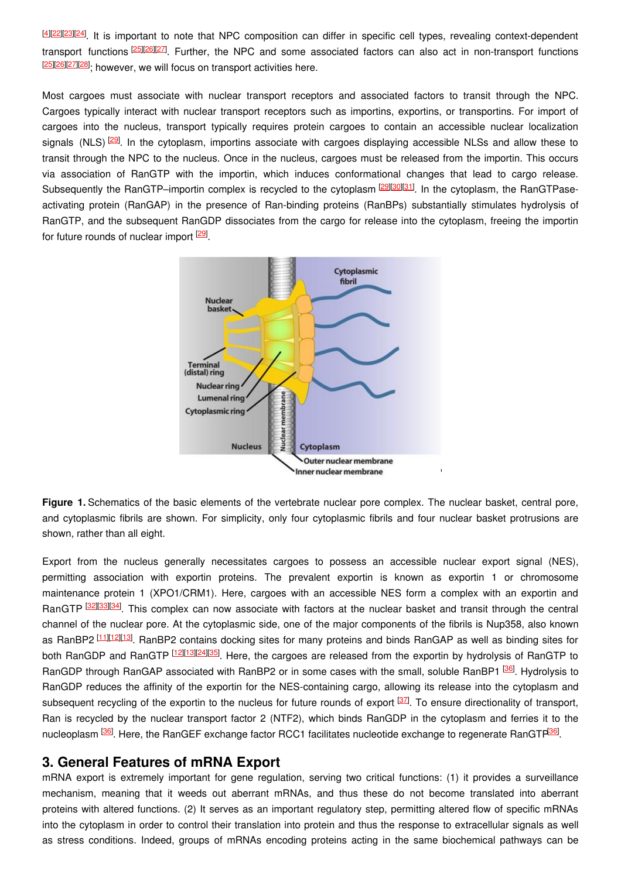[\[4](#page-3-3)][\[22](#page-3-21)][[23](#page-3-22)][\[24](#page-3-23)]. It is important to note that NPC composition can differ in specific cell types, revealing context-dependent transport functions **[[25](#page-3-24)][\[26](#page-4-0)][\[27](#page-4-1)]**. Further, the NPC and some associated factors can also act in non-transport functions [\[25](#page-3-24)][\[26](#page-4-0)][\[27](#page-4-1)][\[28](#page-4-2)]<sub>;</sub> however, we will focus on transport activities here.

Most cargoes must associate with nuclear transport receptors and associated factors to transit through the NPC. Cargoes typically interact with nuclear transport receptors such as importins, exportins, or transportins. For import of cargoes into the nucleus, transport typically requires protein cargoes to contain an accessible nuclear localization signals (NLS)<sup>[\[29](#page-4-3)]</sup>. In the cytoplasm, importins associate with cargoes displaying accessible NLSs and allow these to transit through the NPC to the nucleus. Once in the nucleus, cargoes must be released from the importin. This occurs via association of RanGTP with the importin, which induces conformational changes that lead to cargo release. Subsequently the RanGTP–importin complex is recycled to the cytoplasm <sup>[\[29](#page-4-3)][\[30](#page-4-4)][\[31](#page-4-5)]</sup>. In the cytoplasm, the RanGTPaseactivating protein (RanGAP) in the presence of Ran-binding proteins (RanBPs) substantially stimulates hydrolysis of RanGTP, and the subsequent RanGDP dissociates from the cargo for release into the cytoplasm, freeing the importin for future rounds of nuclear import <sup>[\[29](#page-4-3)]</sup>.



**Figure 1.** Schematics of the basic elements of the vertebrate nuclear pore complex. The nuclear basket, central pore, and cytoplasmic fibrils are shown. For simplicity, only four cytoplasmic fibrils and four nuclear basket protrusions are shown, rather than all eight.

Export from the nucleus generally necessitates cargoes to possess an accessible nuclear export signal (NES), permitting association with exportin proteins. The prevalent exportin is known as exportin 1 or chromosome maintenance protein 1 (XPO1/CRM1). Here, cargoes with an accessible NES form a complex with an exportin and RanGTP <sup>[\[32](#page-4-6)][\[33](#page-4-7)][\[34](#page-4-8)]</sup>. This complex can now associate with factors at the nuclear basket and transit through the central channel of the nuclear pore. At the cytoplasmic side, one of the major components of the fibrils is Nup358, also known as RanBP2<sup>[\[11](#page-3-10)][\[12](#page-3-11)][\[13](#page-3-12)]</sup>. RanBP2 contains docking sites for many proteins and binds RanGAP as well as binding sites for both RanGDP and RanGTP [\[12](#page-3-11)][\[13](#page-3-12)][\[24](#page-3-23)][\[35](#page-4-9)]. Here, the cargoes are released from the exportin by hydrolysis of RanGTP to RanGDP through RanGAP associated with RanBP2 or in some cases with the small, soluble RanBP1 <sup>[\[36](#page-4-10)]</sup>. Hydrolysis to RanGDP reduces the affinity of the exportin for the NES-containing cargo, allowing its release into the cytoplasm and subsequent recycling of the exportin to the nucleus for future rounds of export <sup>[\[37](#page-4-11)]</sup>. To ensure directionality of transport, Ran is recycled by the nuclear transport factor 2 (NTF2), which binds RanGDP in the cytoplasm and ferries it to the nucleoplasm <sup>[\[36](#page-4-10)]</sup>. Here, the RanGEF exchange factor RCC1 facilitates nucleotide exchange to regenerate RanGTP<sup>[36]</sup>.

### **3. General Features of mRNA Export**

mRNA export is extremely important for gene regulation, serving two critical functions: (1) it provides a surveillance mechanism, meaning that it weeds out aberrant mRNAs, and thus these do not become translated into aberrant proteins with altered functions. (2) It serves as an important regulatory step, permitting altered flow of specific mRNAs into the cytoplasm in order to control their translation into protein and thus the response to extracellular signals as well as stress conditions. Indeed, groups of mRNAs encoding proteins acting in the same biochemical pathways can be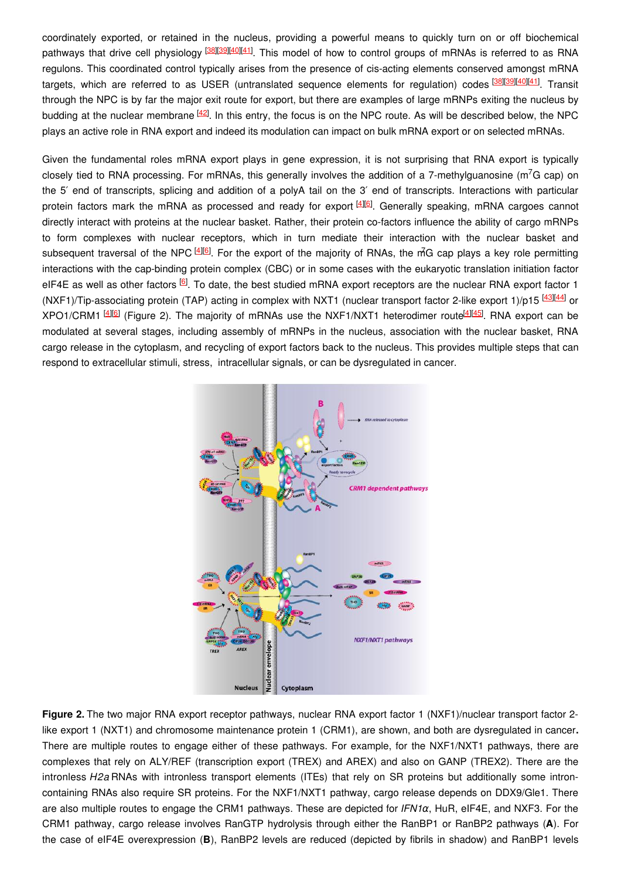coordinately exported, or retained in the nucleus, providing a powerful means to quickly turn on or off biochemical pathways that drive cell physiology <sup>[\[38](#page-4-12)][\[39](#page-4-13)][\[40](#page-4-14)][\[41](#page-4-15)]</sup>. This model of how to control groups of mRNAs is referred to as RNA regulons. This coordinated control typically arises from the presence of cis-acting elements conserved amongst mRNA targets, which are referred to as USER (untranslated sequence elements for regulation) codes <sup>[\[38](#page-4-12)][\[39](#page-4-13)][\[40](#page-4-14)][\[41](#page-4-15)]</sup>. Transit through the NPC is by far the major exit route for export, but there are examples of large mRNPs exiting the nucleus by budding at the nuclear membrane <sup>[\[42](#page-4-16)]</sup>. In this entry, the focus is on the NPC route. As will be described below, the NPC plays an active role in RNA export and indeed its modulation can impact on bulk mRNA export or on selected mRNAs.

Given the fundamental roles mRNA export plays in gene expression, it is not surprising that RNA export is typically closely tied to RNA processing. For mRNAs, this generally involves the addition of a 7-methylguanosine (m<sup>7</sup>G cap) on the 5′ end of transcripts, splicing and addition of a polyA tail on the 3′ end of transcripts. Interactions with particular protein factors mark the mRNA as processed and ready for export  $40$ . Generally speaking, mRNA cargoes cannot directly interact with proteins at the nuclear basket. Rather, their protein co-factors influence the ability of cargo mRNPs to form complexes with nuclear receptors, which in turn mediate their interaction with the nuclear basket and subsequent traversal of the NPC <sup>[\[4](#page-3-3)][\[6](#page-3-5)]</sup>. For the export of the majority of RNAs, the m<sup>2</sup>G cap plays a key role permitting interactions with the cap-binding protein complex (CBC) or in some cases with the eukaryotic translation initiation factor eIF4E as well as other factors <sup>[\[6](#page-3-5)]</sup>. To date, the best studied mRNA export receptors are the nuclear RNA export factor 1 (NXF1)/Tip-associating protein (TAP) acting in complex with NXT1 (nuclear transport factor 2-like export 1)/p15 [\[43](#page-4-17)][\[44](#page-4-18)] or XPO1/CRM1<sup>[\[4](#page-3-3)][\[6](#page-3-5)]</sup> (Figure 2). The majority of mRNAs use the NXF1/NXT1 heterodimer route<sup>[[4](#page-3-3)][\[45](#page-4-19)]</sup>. RNA export can be modulated at several stages, including assembly of mRNPs in the nucleus, association with the nuclear basket, RNA cargo release in the cytoplasm, and recycling of export factors back to the nucleus. This provides multiple steps that can respond to extracellular stimuli, stress, intracellular signals, or can be dysregulated in cancer.



**Figure 2.** The two major RNA export receptor pathways, nuclear RNA export factor 1 (NXF1)/nuclear transport factor 2 like export 1 (NXT1) and chromosome maintenance protein 1 (CRM1), are shown, and both are dysregulated in cancer**.** There are multiple routes to engage either of these pathways. For example, for the NXF1/NXT1 pathways, there are complexes that rely on ALY/REF (transcription export (TREX) and AREX) and also on GANP (TREX2). There are the intronless *H2a* RNAs with intronless transport elements (ITEs) that rely on SR proteins but additionally some introncontaining RNAs also require SR proteins. For the NXF1/NXT1 pathway, cargo release depends on DDX9/Gle1. There are also multiple routes to engage the CRM1 pathways. These are depicted for *IFN1*α, HuR, eIF4E, and NXF3. For the CRM1 pathway, cargo release involves RanGTP hydrolysis through either the RanBP1 or RanBP2 pathways (**A**). For the case of eIF4E overexpression (**B**), RanBP2 levels are reduced (depicted by fibrils in shadow) and RanBP1 levels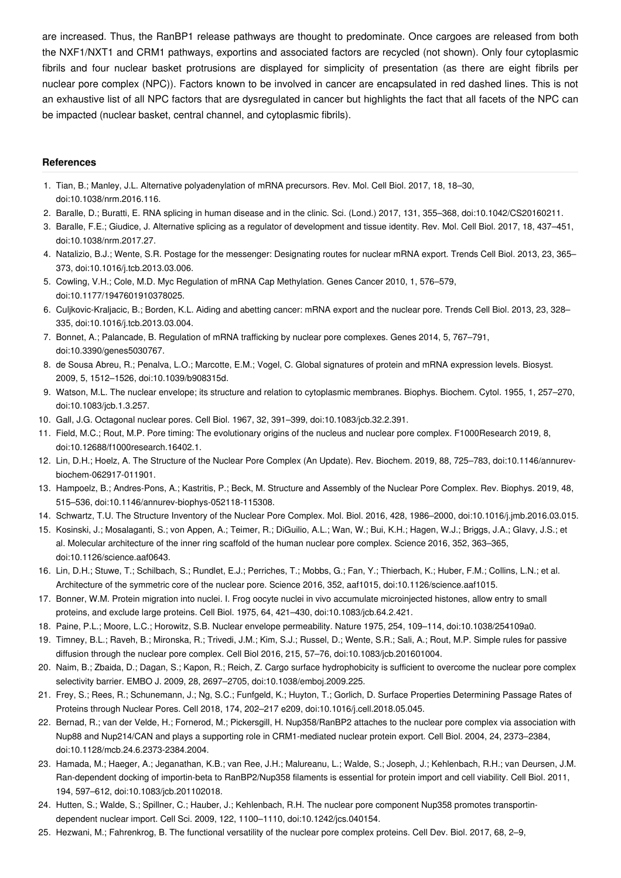are increased. Thus, the RanBP1 release pathways are thought to predominate. Once cargoes are released from both the NXF1/NXT1 and CRM1 pathways, exportins and associated factors are recycled (not shown). Only four cytoplasmic fibrils and four nuclear basket protrusions are displayed for simplicity of presentation (as there are eight fibrils per nuclear pore complex (NPC)). Factors known to be involved in cancer are encapsulated in red dashed lines. This is not an exhaustive list of all NPC factors that are dysregulated in cancer but highlights the fact that all facets of the NPC can be impacted (nuclear basket, central channel, and cytoplasmic fibrils).

#### **References**

- <span id="page-3-0"></span>1. Tian, B.; Manley, J.L. Alternative polyadenylation of mRNA precursors. Rev. Mol. Cell Biol. 2017, 18, 18–30, doi:10.1038/nrm.2016.116.
- <span id="page-3-1"></span>2. Baralle, D.; Buratti, E. RNA splicing in human disease and in the clinic. Sci. (Lond.) 2017, 131, 355–368, doi:10.1042/CS20160211.
- <span id="page-3-2"></span>3. Baralle, F.E.; Giudice, J. Alternative splicing as a regulator of development and tissue identity. Rev. Mol. Cell Biol. 2017, 18, 437–451, doi:10.1038/nrm.2017.27.
- <span id="page-3-3"></span>4. Natalizio, B.J.; Wente, S.R. Postage for the messenger: Designating routes for nuclear mRNA export. Trends Cell Biol. 2013, 23, 365– 373, doi:10.1016/j.tcb.2013.03.006.
- <span id="page-3-4"></span>5. Cowling, V.H.; Cole, M.D. Myc Regulation of mRNA Cap Methylation. Genes Cancer 2010, 1, 576–579, doi:10.1177/1947601910378025.
- <span id="page-3-5"></span>6. Culjkovic-Kraljacic, B.; Borden, K.L. Aiding and abetting cancer: mRNA export and the nuclear pore. Trends Cell Biol. 2013, 23, 328– 335, doi:10.1016/j.tcb.2013.03.004.
- <span id="page-3-6"></span>7. Bonnet, A.; Palancade, B. Regulation of mRNA trafficking by nuclear pore complexes. Genes 2014, 5, 767–791, doi:10.3390/genes5030767.
- <span id="page-3-7"></span>8. de Sousa Abreu, R.; Penalva, L.O.; Marcotte, E.M.; Vogel, C. Global signatures of protein and mRNA expression levels. Biosyst. 2009, 5, 1512–1526, doi:10.1039/b908315d.
- <span id="page-3-8"></span>9. Watson, M.L. The nuclear envelope; its structure and relation to cytoplasmic membranes. Biophys. Biochem. Cytol. 1955, 1, 257–270, doi:10.1083/jcb.1.3.257.
- <span id="page-3-9"></span>10. Gall, J.G. Octagonal nuclear pores. Cell Biol. 1967, 32, 391–399, doi:10.1083/jcb.32.2.391.
- <span id="page-3-10"></span>11. Field, M.C.; Rout, M.P. Pore timing: The evolutionary origins of the nucleus and nuclear pore complex. F1000Research 2019, 8, doi:10.12688/f1000research.16402.1.
- <span id="page-3-11"></span>12. Lin, D.H.; Hoelz, A. The Structure of the Nuclear Pore Complex (An Update). Rev. Biochem. 2019, 88, 725–783, doi:10.1146/annurevbiochem-062917-011901.
- <span id="page-3-12"></span>13. Hampoelz, B.; Andres-Pons, A.; Kastritis, P.; Beck, M. Structure and Assembly of the Nuclear Pore Complex. Rev. Biophys. 2019, 48, 515–536, doi:10.1146/annurev-biophys-052118-115308.
- <span id="page-3-13"></span>14. Schwartz, T.U. The Structure Inventory of the Nuclear Pore Complex. Mol. Biol. 2016, 428, 1986–2000, doi:10.1016/j.jmb.2016.03.015.
- <span id="page-3-14"></span>15. Kosinski, J.; Mosalaganti, S.; von Appen, A.; Teimer, R.; DiGuilio, A.L.; Wan, W.; Bui, K.H.; Hagen, W.J.; Briggs, J.A.; Glavy, J.S.; et al. Molecular architecture of the inner ring scaffold of the human nuclear pore complex. Science 2016, 352, 363–365, doi:10.1126/science.aaf0643.
- <span id="page-3-15"></span>16. Lin, D.H.; Stuwe, T.; Schilbach, S.; Rundlet, E.J.; Perriches, T.; Mobbs, G.; Fan, Y.; Thierbach, K.; Huber, F.M.; Collins, L.N.; et al. Architecture of the symmetric core of the nuclear pore. Science 2016, 352, aaf1015, doi:10.1126/science.aaf1015.
- <span id="page-3-16"></span>17. Bonner, W.M. Protein migration into nuclei. I. Frog oocyte nuclei in vivo accumulate microinjected histones, allow entry to small proteins, and exclude large proteins. Cell Biol. 1975, 64, 421–430, doi:10.1083/jcb.64.2.421.
- <span id="page-3-17"></span>18. Paine, P.L.; Moore, L.C.; Horowitz, S.B. Nuclear envelope permeability. Nature 1975, 254, 109–114, doi:10.1038/254109a0.
- <span id="page-3-18"></span>19. Timney, B.L.; Raveh, B.; Mironska, R.; Trivedi, J.M.; Kim, S.J.; Russel, D.; Wente, S.R.; Sali, A.; Rout, M.P. Simple rules for passive diffusion through the nuclear pore complex. Cell Biol 2016, 215, 57–76, doi:10.1083/jcb.201601004.
- <span id="page-3-19"></span>20. Naim, B.; Zbaida, D.; Dagan, S.; Kapon, R.; Reich, Z. Cargo surface hydrophobicity is sufficient to overcome the nuclear pore complex selectivity barrier. EMBO J. 2009, 28, 2697–2705, doi:10.1038/emboj.2009.225.
- <span id="page-3-20"></span>21. Frey, S.; Rees, R.; Schunemann, J.; Ng, S.C.; Funfgeld, K.; Huyton, T.; Gorlich, D. Surface Properties Determining Passage Rates of Proteins through Nuclear Pores. Cell 2018, 174, 202–217 e209, doi:10.1016/j.cell.2018.05.045.
- <span id="page-3-21"></span>22. Bernad, R.; van der Velde, H.; Fornerod, M.; Pickersgill, H. Nup358/RanBP2 attaches to the nuclear pore complex via association with Nup88 and Nup214/CAN and plays a supporting role in CRM1-mediated nuclear protein export. Cell Biol. 2004, 24, 2373–2384, doi:10.1128/mcb.24.6.2373-2384.2004.
- <span id="page-3-22"></span>23. Hamada, M.; Haeger, A.; Jeganathan, K.B.; van Ree, J.H.; Malureanu, L.; Walde, S.; Joseph, J.; Kehlenbach, R.H.; van Deursen, J.M. Ran-dependent docking of importin-beta to RanBP2/Nup358 filaments is essential for protein import and cell viability. Cell Biol. 2011, 194, 597–612, doi:10.1083/jcb.201102018.
- <span id="page-3-23"></span>24. Hutten, S.; Walde, S.; Spillner, C.; Hauber, J.; Kehlenbach, R.H. The nuclear pore component Nup358 promotes transportindependent nuclear import. Cell Sci. 2009, 122, 1100–1110, doi:10.1242/jcs.040154.
- <span id="page-3-24"></span>25. Hezwani, M.; Fahrenkrog, B. The functional versatility of the nuclear pore complex proteins. Cell Dev. Biol. 2017, 68, 2–9,